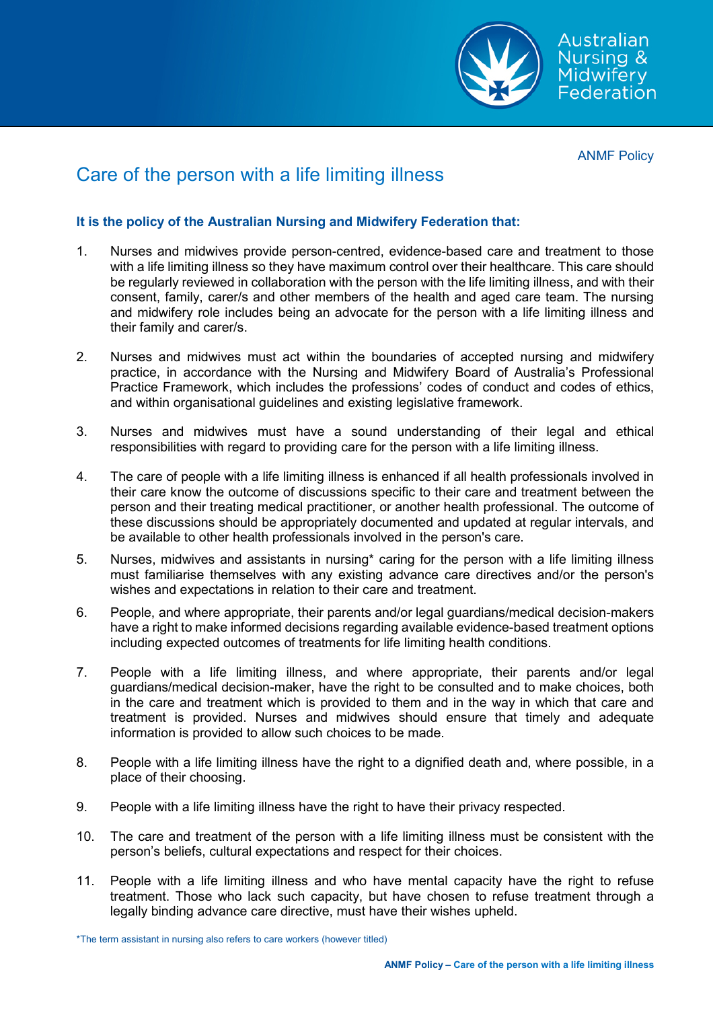

ANMF Policy

## Care of the person with a life limiting illness

## **It is the policy of the Australian Nursing and Midwifery Federation that:**

- 1. Nurses and midwives provide person-centred, evidence-based care and treatment to those with a life limiting illness so they have maximum control over their healthcare. This care should be regularly reviewed in collaboration with the person with the life limiting illness, and with their consent, family, carer/s and other members of the health and aged care team. The nursing and midwifery role includes being an advocate for the person with a life limiting illness and their family and carer/s.
- 2. Nurses and midwives must act within the boundaries of accepted nursing and midwifery practice, in accordance with the Nursing and Midwifery Board of Australia's Professional Practice Framework, which includes the professions' codes of conduct and codes of ethics, and within organisational guidelines and existing legislative framework.
- 3. Nurses and midwives must have a sound understanding of their legal and ethical responsibilities with regard to providing care for the person with a life limiting illness.
- 4. The care of people with a life limiting illness is enhanced if all health professionals involved in their care know the outcome of discussions specific to their care and treatment between the person and their treating medical practitioner, or another health professional. The outcome of these discussions should be appropriately documented and updated at regular intervals, and be available to other health professionals involved in the person's care.
- 5. Nurses, midwives and assistants in nursing\* caring for the person with a life limiting illness must familiarise themselves with any existing advance care directives and/or the person's wishes and expectations in relation to their care and treatment.
- 6. People, and where appropriate, their parents and/or legal guardians/medical decision-makers have a right to make informed decisions regarding available evidence-based treatment options including expected outcomes of treatments for life limiting health conditions.
- 7. People with a life limiting illness, and where appropriate, their parents and/or legal guardians/medical decision-maker, have the right to be consulted and to make choices, both in the care and treatment which is provided to them and in the way in which that care and treatment is provided. Nurses and midwives should ensure that timely and adequate information is provided to allow such choices to be made.
- 8. People with a life limiting illness have the right to a dignified death and, where possible, in a place of their choosing.
- 9. People with a life limiting illness have the right to have their privacy respected.
- 10. The care and treatment of the person with a life limiting illness must be consistent with the person's beliefs, cultural expectations and respect for their choices.
- 11. People with a life limiting illness and who have mental capacity have the right to refuse treatment. Those who lack such capacity, but have chosen to refuse treatment through a legally binding advance care directive, must have their wishes upheld.